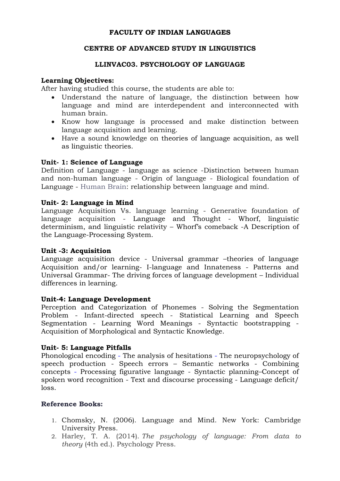## **FACULTY OF INDIAN LANGUAGES**

## **CENTRE OF ADVANCED STUDY IN LINGUISTICS**

# **LLINVAC03. PSYCHOLOGY OF LANGUAGE**

### **Learning Objectives:**

After having studied this course, the students are able to:

- Understand the nature of language, the distinction between how language and mind are interdependent and interconnected with human brain.
- Know how language is processed and make distinction between language acquisition and learning.
- Have a sound knowledge on theories of language acquisition, as well as linguistic theories.

#### **Unit- 1: Science of Language**

Definition of Language - language as science -Distinction between human and non-human language - Origin of language - Biological foundation of Language - Human Brain: relationship between language and mind.

#### **Unit- 2: Language in Mind**

Language Acquisition Vs. language learning - Generative foundation of language acquisition - Language and Thought - Whorf, linguistic determinism, and linguistic relativity – Whorf's comeback -A Description of the Language-Processing System.

## **Unit -3: Acquisition**

Language acquisition device - Universal grammar –theories of language Acquisition and/or learning- I-language and Innateness - Patterns and Universal Grammar- The driving forces of language development – Individual differences in learning.

#### **Unit-4: Language Development**

Perception and Categorization of Phonemes - Solving the Segmentation Problem - Infant-directed speech - Statistical Learning and Speech Segmentation - Learning Word Meanings - Syntactic bootstrapping - Acquisition of Morphological and Syntactic Knowledge.

## **Unit- 5: Language Pitfalls**

Phonological encoding - The analysis of hesitations - The neuropsychology of speech production - Speech errors – Semantic networks - Combining concepts - Processing figurative language - Syntactic planning–Concept of spoken word recognition - Text and discourse processing - Language deficit/ loss.

## **Reference Books:**

- 1. Chomsky, N. (2006). Language and Mind. New York: Cambridge University Press.
- 2. Harley, T. A. (2014). *The psychology of language: From data to theory* (4th ed.). Psychology Press.